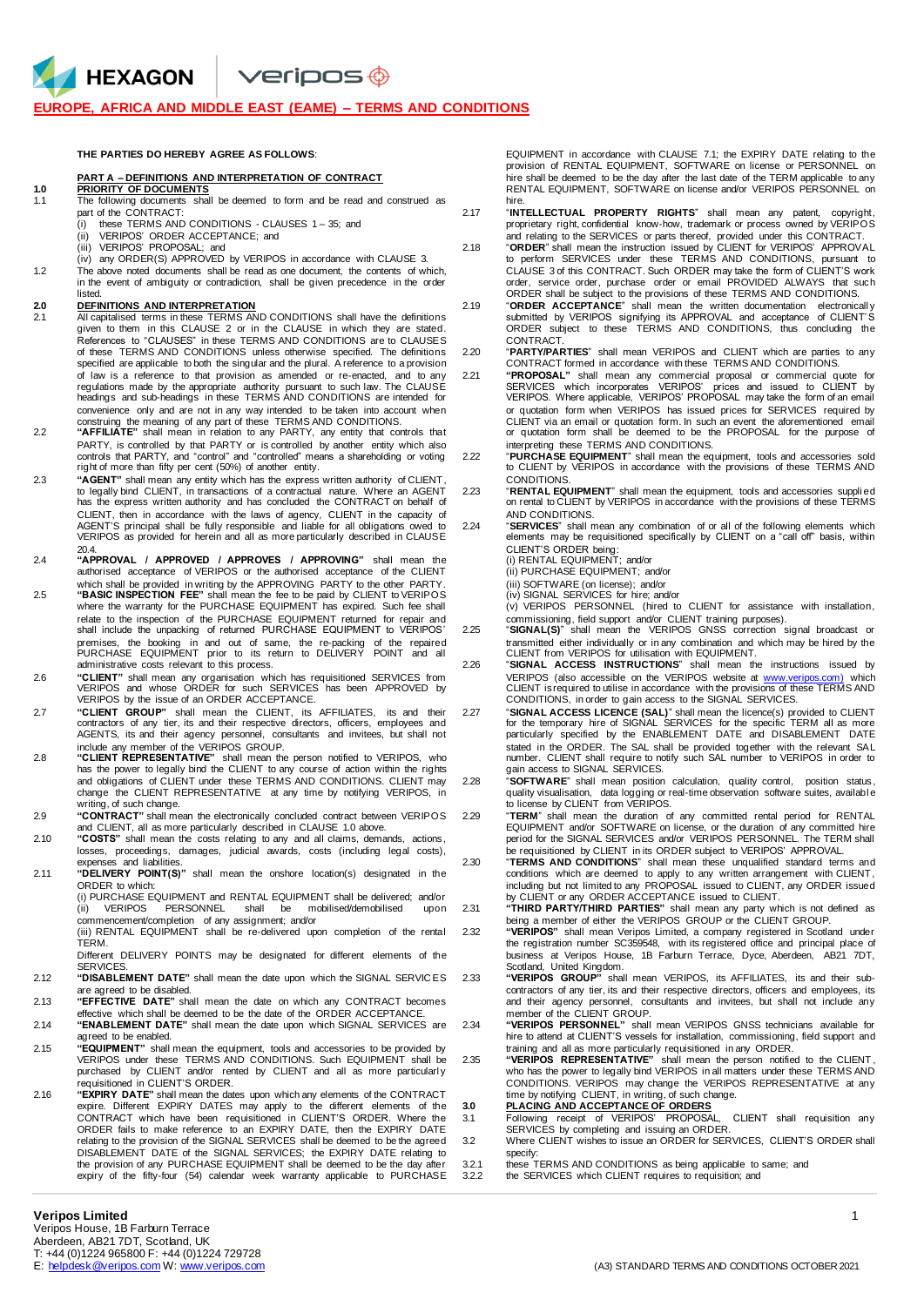$\vee$ eripos $\circledast$ 

#### **EUROPE, AFRICA AND MIDDLE EAST (EAME) – TERMS AND CONDITIONS**

#### **THE PARTIES DO HEREBY AGREE AS FOLLOWS**:

#### **PART A – DEFINITIONS AND INTERPRETATION OF CONTRACT**

HEXAGON

- **1.0 PRIORITY OF DOCUMENTS** 1.1 The following documents shall be deemed to form and be read and construed as part of the CONTRACT:
	- (i) these TERMS AND CONDITIONS CLAUSES 1 35; and (ii) VERIPOS' ORDER ACCEPTANCE; and
	-
	- (iii) VERIPOS' PROPOSAL; and (iv) any ORDER(S) APPROVED by VERIPOS in accordance with CLAUSE 3.
- 1.2 The above noted documents shall be read as one document, the contents of which, in the event of ambiguity or contradiction, shall be given precedence in the order listed.

# **2.0 DEFINITIONS AND INTERPRETATION**

- 2.1 All capitalised terms in these TERMS AND CONDITIONS shall have the definitions given to them in this CLAUSE 2 or in the CLAUSE in which they are stated. References to "CLAUSES" in these TERMS AND CONDITIONS are to CLAUSES of these TERMS AND CONDITIONS unless otherwise specified. The definitions specified are applicable to both the singular and the plural. A reference to a provision of law is a reference to that provision as amended or re-enacted, and to any regulations made by the appropriate authority pursuant to such law. The CLAUSE headings and sub-headings in these TERMS AND CONDITIONS are intended for convenience only and are not in any way intended to be taken into account when<br>construing the meaning of any part of these TERMS AND CONDITIONS.<br>"AFFILIATE" shall mean in relation to any PARTY, any entity that controls tha
- PARTY, is controlled by that PARTY or is controlled by another entity which also<br>controls that PARTY, and "control" and "controlled" means a shareholding or voting<br>right of more than fifty per cent (50%) of another entity.
- 2.3 **"AGENT"** shall mean any entity which has the express written authority of CLIENT, to legally bind CLIENT, in transactions of a contractual nature. Where an AGENT has the express written authority and has concluded the CONTRACT on behalf of CLIENT, then in accordance with the laws of agency, CLIENT in the capacity of AGENT'S principal shall be fully responsible and liable for all obligations owed to VERIPOS as provided for herein and all as more particularly described in CLAUSE 20.4.
- 2.4 **"APPROVAL / APPROVED / APPROVES / APPROVING"** shall mean the authorised acceptance of VERIPOS or the authorised acceptance of the CLIENT which shall be provided in writing by the APPROVING PARTY to the other PARTY.
- 2.5 **"BASIC INSPECTION FEE"** shall mean the fee to be paid by CLIENT to VERIPOS where the warranty for the PURCHASE EQUIPMENT has expired. Such fee shall relate to the inspection of the PURCHASE EQUIPMENT returned for repair and shall include the unpacking of returned PURCHASE EQUIPMENT to VERIPOS' premises, the booking in and out of same, the re-packing of the repaired PURCHASE EQUIPMENT prior to its return to DELIVERY POINT and all administrative costs relevant to this process.
- 2.6 **"CLIENT"** shall mean any organisation which has requisitioned SERVICES from VERIPOS and whose ORDER for such SERVICES has been APPROVED by VERIPOS by the issue of an ORDER ACCEPTANCE.
- 2.7 **"CLIENT GROUP"** shall mean the CLIENT, its AFFILIATES, its and their contractors of any tier, its and their respective directors, officers, employees and AGENTS, its and their agency personnel, consultants and invitees, but shall not include any member of the VERIPOS GROUP.
- 2.8 **"CLIENT REPRESENTATIVE"** shall mean the person notified to VERIPOS, who has the power to legally bind the CLIENT to any course of action within the rights and obligations of CLIENT under these TERMS AND CONDITIONS. CLIENT may change the CLIENT REPRESENTATIVE at any time by notifying VERIPOS, in writing, of such change.
- 2.9 **"CONTRACT"** shall mean the electronically concluded contract between VERIPOS and CLIENT, all as more particularly described in CLAUSE 1.0 above. 2.10 **"COSTS"** shall mean the costs relating to any and all claims, demands, actions,
- losses, proceedings, damages, judicial awards, costs (including legal costs), expenses and liabilities.
- 2.11 **"DELIVERY POINT(S)"** shall mean the onshore location(s) designated in the ORDER to which:

(i) PURCHASE EQUIPMENT and RENTAL EQUIPMENT shall be delivered; and/or<br>(ii) VERIPOS PERSONNEL shall be mobilised/demobilised upon VERIPOS PERSONNEL

commencement/completion of any assignment; and/or (iii) RENTAL EQUIPMENT shall be re-delivered upon completion of the rental TERM.

Different DELIVERY POINTS may be designated for different elements of the SERVICES.

- 2.12 **"DISABLEMENT DATE"** shall mean the date upon which the SIGNAL SERVIC ES are agreed to be disabled.
- 2.13 **"EFFECTIVE DATE"** shall mean the date on which any CONTRACT becomes effective which shall be deemed to be the date of the ORDER ACCEPTANCE.
- 2.14 **"ENABLEMENT DATE"** shall mean the date upon which SIGNAL SERVICES are agreed to be enabled.
- 2.15 **"EQUIPMENT"** shall mean the equipment, tools and accessories to be provided by VERIPOS under these TERMS AND CONDITIONS. Such EQUIPMENT shall be purchased by CLIENT and/or rented by CLIENT and all as more particularl y requisitioned in CLIENT'S ORDER.
- 2.16 **"EXPIRY DATE"** shall mean the dates upon which any elements of the CONTRACT expire. Different EXPIRY DATES may apply to the different elements of the CONTRACT which have been requisitioned in CLIENT'S ORDER. Where the ORDER fails to make reference to an EXPIRY DATE, then the EXPIRY DATE relating to the provision of the SIGNAL SERVICES shall be deemed to be the agreed DISABLEMENT DATE of the SIGNAL SERVICES; the EXPIRY DATE relating to the provision of any PURCHASE EQUIPMENT shall be deemed to be the day after expiry of the fifty-four (54) calendar week warranty applicable to PURCHASE

EQUIPMENT in accordance with CLAUSE 7.1; the EXPIRY DATE relating to the provision of RENTAL EQUIPMENT, SOFTWARE on license or PERSONNEL on hire shall be deemed to be the day after the last date of the TERM applicable to any RENTAL EQUIPMENT, SOFTWARE on license and/or VERIPOS PERSONNEL on hire.

- 2.17 "**INTELLECTUAL PROPERTY RIGHTS**" shall mean any patent, copyright, proprietary right, confidential know-how, trademark or process owned by VERIPOS
- and relating to the SERVICES or parts thereof, provided under this CONTRACT. 2.18 "**ORDER**" shall mean the instruction issued by CLIENT for VERIPOS' APPROVAL to perform SERVICES under these TERMS AND CONDITIONS, pursuant to CLAUSE 3 of this CONTRACT. Such ORDER may take the form of CLIENT'S work order, service order, purchase order or email PROVIDED ALWAYS that such ORDER shall be subject to the provisions of these TERMS AND CONDITIONS.
- 2.19 "**ORDER ACCEPTANCE**" shall mean the written documentation electronicall y submitted by VERIPOS signifying its APPROVAL and acceptance of CLIENT' S ORDER subject to these TERMS AND CONDITIONS, thus concluding the CONTRACT.
- 2.20 "**PARTY/PARTIES**" shall mean VERIPOS and CLIENT which are parties to any CONTRACT formed in accordance with these TERMS AND CONDITIONS.
- "PROPOSAL" shall mean any commercial proposal or commercial quote for<br>SERVICES which incorporates VERIPOS" prices and issued to CLIENT by<br>VERIPOS Where applicable, VERIPOS' PROPOSAL may take the form of an email or quotation form when VERIPOS has issued prices for SERVICES required by<br>CLIENT via an email or quotation form. In such an event the aforementioned email<br>or quotation form shall be deemed to be the PROPOSAL for the purpos
- interpreting these TERMS AND CONDITIONS. 2.22 "**PURCHASE EQUIPMENT**" shall mean the equipment, tools and accessories sold to CLIENT by VERIPOS in accordance with the provisions of these TERMS AND CONDITIONS.
- 2.23 "**RENTAL EQUIPMENT**" shall mean the equipment, tools and accessories suppli ed on rental to CLIENT by VERIPOS in accordance with the provisions of these TERMS AND CONDITIONS.
- 2.24 "**SERVICES**" shall mean any combination of or all of the following elements which elements may be requisitioned specifically by CLIENT on a "call off" basis, within CLIENT'S ORDER being:
	- (i) RENTAL EQUIPMENT; and/or (ii) PURCHASE EQUIPMENT; and/or
	-
	- (iii) SOFTWARE (on license); and/or
	-
	- (iv) SIGNAL SERVICES for hire; and/or (v) VERIPOS PERSONNEL (hired to CLIENT for assistance with installation, commissioning, field support and/or CLIENT training purposes).
- 2.25 "SIGNAL(S)" shall mean the VERIPOS GNSS correction signal broadcast or transmitted either individually or in any combination and which may be hired by the CLIENT from VERIPOS for utilisation with EQUIPMENT.
- 2.26 "**SIGNAL ACCESS INSTRUCTIONS**" shall mean the instructions issued by VERIPOS (also accessible on the VERIPOS website at [www.veripos.com\)](http://www.veripos.com/) which CLIENT is required to utilise in accordance with the provisions of these TERMS AND CONDITIONS, in order to gain access to the SIGNAL SERVICES.
- 2.27 "**SIGNAL ACCESS LICENCE (SAL)**" shall mean the licence(s) provided to CLIENT for the temporary hire of SIGNAL SERVICES for the specific TERM all as more particularly specified by the ENABLEMENT DATE and DISABLEMENT DATE stated in the ORDER. The SAL shall be provided together with the relevant SAL number. CLIENT shall require to notify such SAL number to VERIPOS in order to gain access to SIGNAL SERVICES.
- 2.28 "**SOFTWARE**" shall mean position calculation, quality control, position status , quality visualisation, data logging or real-time observation software suites, availabl e to license by CLIENT from VERIPOS.
- "TERM" shall mean the duration of any committed rental period for RENTAL<br>EQUIPMENT and/or SOFTWARE on license, or the duration of any committed hire<br>period for the SIGNAL SERVICES and/or VERIPOS PERSONNEL. The TERM shall
- be requisitioned by CLIENT in its ORDER subject to VERIPOS' APPROVAL.<br>2.30 TERMS AND CONDITIONS" shall mean these unqualified standard terms and<br>conditions which are deemed to apply to any written arrangement with CLIENT, including but not limited to any PROPOSAL issued to CLIENT, any ORDER issued<br>by CLIENT or any ORDER ACCEPTANCE issued to CLIENT.<br>2.31 **"THIRD PARTY/THIRD PARTIES"** shall mean any party which is not defined as
	- being a member of either the VERIPOS GROUP or the CLIENT GROUP.
- 2.32 **"VERIPOS"** shall mean Veripos Limited, a company registered in Scotland under the registration number SC359548, with its registered office and principal place of business at Veripos House, 1B Farburn Terrace, Dyce, Aberdeen, AB21 7DT,
- Scotland, United Kingdom. 2.33 **"VERIPOS GROUP"** shall mean VERIPOS, its AFFILIATES, its and their subcontractors of any tier, its and their respective directors, officers and employees, its and their agency personnel, consultants and invitees, but shall not include any member of the CLIENT GROUP.
- 2.34 **"VERIPOS PERSONNEL"** shall mean VERIPOS GNSS technicians available for hire to attend at CLIENT'S vessels for installation, commissioning, field support and
- training and all as more particularly requisitioned in any ORDER. 2.35 **"VERIPOS REPRESENTATIVE"** shall mean the person notified to the CLIENT , who has the power to legally bind VERIPOS in all matters under these TERMS AND CONDITIONS. VERIPOS may change the VERIPOS REPRESENTATIVE at any time by notifying CLIENT, in writing, of such change. **3.0 PLACING AND ACCEPTANCE OF ORDERS**
	-
- 3.1 Following receipt of VERIPOS' PROPOSAL, CLIENT shall requisition any SERVICES by completing and issuing an ORDER. 3.2 Where CLIENT wishes to issue an ORDER for SERVICES, CLIENT'S ORDER shall
- specify: 3.2.1 these TERMS AND CONDITIONS as being applicable to same; and
- 3.2.2 the SERVICES which CLIENT requires to requisition; and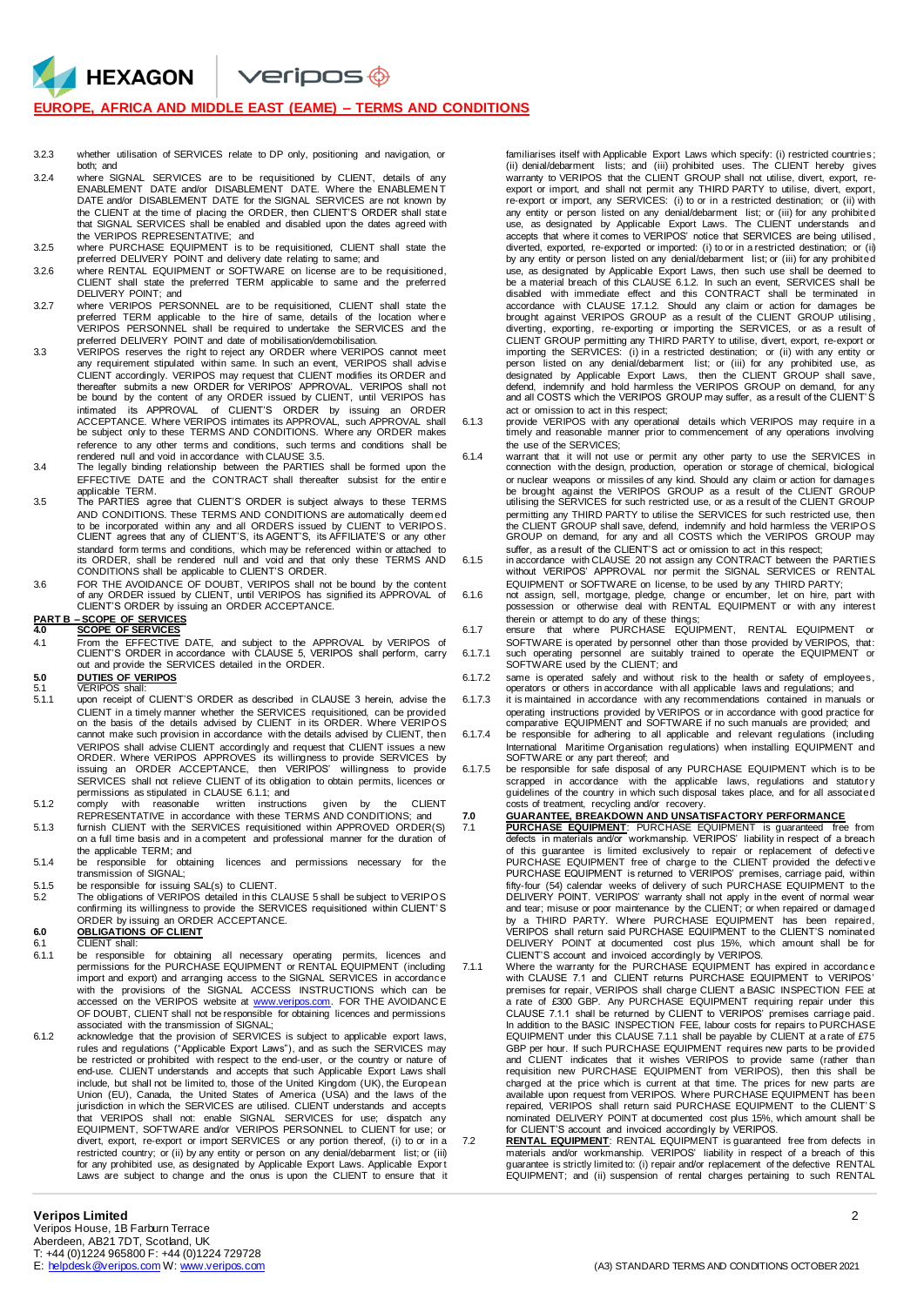$V$ eripos $\bigcirc$ 

#### **EUROPE, AFRICA AND MIDDLE EAST (EAME) – TERMS AND CONDITIONS**

- 3.2.3 whether utilisation of SERVICES relate to DP only, positioning and navigation, or both; and
- 3.2.4 where SIGNAL SERVICES are to be requisitioned by CLIENT, details of any ENABLEMENT DATE and/or DISABLEMENT DATE. Where the ENABLEMEN T DATE and/or DISABLEMENT DATE for the SIGNAL SERVICES are not known by the CLIENT at the time of placing the ORDER, then CLIENT'S ORDER shall state that SIGNAL SERVICES shall be enabled and disabled upon the dates agreed with the VERIPOS REPRESENTATIVE; and
- 3.2.5 where PURCHASE EQUIPMENT is to be requisitioned, CLIENT shall state the preferred DELIVERY POINT and delivery date relating to same; and
- 3.2.6 where RENTAL EQUIPMENT or SOFTWARE on license are to be requisitioned, CLIENT shall state the preferred TERM applicable to same and the preferred DELIVERY POINT; and
- 3.2.7 where VERIPOS PERSONNEL are to be requisitioned, CLIENT shall state the preferred TERM applicable to the hire of same, details of the location wher e VERIPOS PERSONNEL shall be required to undertake the SERVICES and the preferred DELIVERY POINT and date of mobilisation/demobilisation.
- 3.3 VERIPOS reserves the right to reject any ORDER where VERIPOS cannot meet any requirement stipulated within same. In such an event, VERIPOS shall advise CLIENT accordingly. VERIPOS may request that CLIENT modifies its ORDER and thereafter submits a new ORDER for VERIPOS' APPROVAL. VERIPOS shall not be bound by the content of any ORDER issued by CLIENT, until VERIPOS has intimated its APPROVAL of CLIENT'S ORDER by issuing an ORDER<br>ACCEPTANCE. Where VERIPOS intimates its APPROVAL, such APPROVAL shall<br>be subject only to these TERMS AND CONDITIONS. Where any ORDER makes reference to any other terms and conditions, such terms and conditions shall be<br>rendered null and void in accordance with CLAUSE 3.5.<br>3.4 The legally binding relationship between the PARTIES shall be formed upon the
- EFFECTIVE DATE and the CONTRACT shall thereafter subsist for the entire applicable TERM.
- 3.5 The PARTIES agree that CLIENT'S ORDER is subject always to these TERMS AND CONDITIONS. These TERMS AND CONDITIONS are automatically deemed<br>to be incorporated within any and all ORDERS issued by CLIENT to VERIPOS.<br>CLIENT agrees that any of CLIENT'S, its AGENT'S, its AFFILIATE'S or any other standard form terms and conditions, which may be referenced within or attached to its ORDER, shall be rendered null and void and that only these TERMS AND CONDITIONS shall be applicable to CLIENT'S ORDER.
- 3.6 FOR THE AVOIDANCE OF DOUBT, VERIPOS shall not be bound by the content of any ORDER issued by CLIENT, until VERIPOS has signified its APPROVAL of CLIENT'S ORDER by issuing an ORDER ACCEPTANCE.

#### **PART B – SCOPE OF SERVICES 4.0 SCOPE OF SERVICES**

HEXAGON

4.1 From the EFFECTIVE DATE, and subject to the APPROVAL by VERIPOS of CLIENT'S ORDER in accordance with CLAUSE 5, VERIPOS shall perform, carry out and provide the SERVICES detailed in the ORDER.

## **5.0 DUTIES OF VERIPOS** 5.1 VERIPOS shall:

- 
- 5.1.1 upon receipt of CLIENT'S ORDER as described in CLAUSE 3 herein, advise the CLIENT in a timely manner whether the SERVICES requisitioned, can be provided on the basis of the details advised by CLIENT in its ORDER. Where VERIPOS cannot make such provision in accordance with the details advised by CLIENT, then VERIPOS shall advise CLIENT accordingly and request that CLIENT issues a new ORDER. Where VERIPOS APPROVES its willingness to provide SERVICES by issuing an ORDER ACCEPTANCE, then VERIPOS' willingness to provide SERVICES shall not relieve CLIENT of its obligation to obtain permits, licences or permissions as stipulated in CLAUSE 6.1.1; and
- 5.1.2 comply with reasonable written instructions given by the CLIENT REPRESENTATIVE in accordance with these TERMS AND CONDITIONS; and 5.1.3 furnish CLIENT with the SERVICES requisitioned within APPROVED ORDER(S)
- on a full time basis and in a competent and professional manner for the duration of the applicable TERM; and
- 5.1.4 be responsible for obtaining licences and permissions necessary for the transmission of SIGNAL;
- 
- 5.1.5 be responsible for issuing SAL(s) to CLIENT.<br>5.2 The obligations of VERIPOS detailed in this CLAUSE 5 shall be subject to VERIPOS<br>confirming its willingness to provide the SERVICES requisitioned within CLIENT'S ORDER by issuing an ORDER ACCEPTANCE.

## **6.0 OBLIGATIONS OF CLIENT** 6.1 CLIENT shall:

- 
- 6.1.1 be responsible for obtaining all necessary operating permits, licences and<br>permissions for the PURCHASE EQUIPMENT or RENTALEQUIPMENT (including<br>import and export) and arranging access to the SIGNAL SERVICES in accord with the provisions of the SIGNAL ACCESS INSTRUCTIONS which can be<br>accessed on the VERIPOS website at [www.veripos.com.](http://www.veripos.com/) FOR THE AVOIDANCE OF DOUBT, CLIENT shall not be responsible for obtaining licences and permissions associated with the transmission of SIGNAL; 6.1.2 acknowledge that the provision of SERVICES is subject to applicable export laws,
- rules and regulations ("Applicable Export Laws"), and as such the SERVICES may be restricted or prohibited with respect to the end-user, or the country or nature of end-use. CLIENT understands and accepts that such Applicable Export Laws shall include, but shall not be limited to, those of the United Kingdom (UK), the European Union (EU), Canada, the United States of America (USA) and the laws of the jurisdiction in which the SERVICES are utilised. CLIENT understands and accepts that VERIPOS shall not: enable SIGNAL SERVICES for use; dispatch any EQUIPMENT, SOFTWARE and/or VERIPOS PERSONNEL to CLIENT for use; or divert, export, re-export or import SERVICES or any portion thereof, (i) to or in a restricted country; or (ii) by any entity or person on any denial/debarment list; or (iii) for any prohibited use, as designated by Applicable Export Laws. Applicable Expor t Laws are subject to change and the onus is upon the CLIENT to ensure that it

familiarises itself with Applicable Export Laws which specify: (i) restricted countries ; (ii) denial/debarment lists; and (iii) prohibited uses. The CLIENT hereby gives warranty to VERIPOS that the CLIENT GROUP shall not utilise, divert, export, reexport or import, and shall not permit any THIRD PARTY to utilise, divert, export, re-export or import, any SERVICES: (i) to or in a restricted destination; or (ii) with any entity or person listed on any denial/debarment list; or (iii) for any prohibited use, as designated by Applicable Export Laws. The CLIENT understands and accepts that where it comes to VERIPOS' notice that SERVICES are being utilised , diverted, exported, re-exported or imported: (i) to or in a restricted destination; or (ii) by any entity or person listed on any denial/debarment list; or (iii) for any prohibited use, as designated by Applicable Export Laws, then such use shall be deemed to be a material breach of this CLAUSE 6.1.2. In such an event, SERVICES shall be disabled with immediate effect and this CONTRACT shall be terminated in accordance with CLAUSE 17.1.2. Should any claim or action for damages be brought against VERIPOS GROUP as a result of the CLIENT GROUP utilising,<br>diverting, exporting, re-exporting or importing the SERVICES, or as a result of CLIENT GROUP permitting any THIRD PARTY to utilise, divert, export, re-export or importing the SERVICES: (i) in a restricted destination; or (ii) with any entity or person listed on any denial/debarment list; or (iii) for any prohibited use, as designated by Applicable Export Laws, then the CLIENT GROUP shall save, defend, indemnify and hold harmless the VERIPOS GROUP on demand, for any and all COSTS which the VERIPOS GROUP may suffer, as a result of the CLIENT' S act or omission to act in this respect;

6.1.3 provide VERIPOS with any operational details which VERIPOS may require in a timely and reasonable manner prior to commencement of any operations involving the use of the SERVICES;

- 6.1.4 warrant that it will not use or permit any other party to use the SERVICES in connection with the design, production, operation or storage of chemical, biological or nuclear weapons or missiles of any kind. Should any claim or action for damages<br>be brought against the VERIPOS GROUP as a result of the CLIENT GROUP<br>utilising the SERVICES for such restricted use, or as a result of the permitting any THIRD PARTY to utilise the SERVICES for such restricted use, then<br>the CLIENT GROUP shall save, defend, indemnify and hold harmless the VERIPOS<br>GROUP on demand, for any and all COSTS which the VERIPOS GROUP m suffer, as a result of the CLIENT'S act or omission to act in this respect;
- 6.1.5 in accordance with CLAUSE 20 not assign any CONTRACT between the PARTIES without VERIPOS' APPROVAL nor permit the SIGNAL SERVICES or RENTAL EQUIPMENT or SOFTWARE on license, to be used by any THIRD PARTY;
- 6.1.6 not assign, sell, mortgage, pledge, change or encumber, let on hire, part with possession or otherwise deal with RENTAL EQUIPMENT or with any interest therein or attempt to do any of these things;
- 6.1.7 ensure that where PURCHASE EQUIPMENT, RENTAL EQUIPMENT or SOFTWARE is operated by personnel other than those provided by VERIPOS, that: 6.1.7.1 such operating personnel are suitably trained to operate the EQUIPMENT or
- SOFTWARE used by the CLIENT; and 6.1.7.2 same is operated safely and without risk to the health or safety of employees, operators or others in accordance with all applicable laws and regulations; and
- 6.1.7.3 it is maintained in accordance with any recommendations contained in manuals or operating instructions provided by VERIPOS or in accordance with good practice for comparative EQUIPMENT and SOFTWARE if no such manuals are provided; and
- 6.1.7.4 be responsible for adhering to all applicable and relevant regulations (including International Maritime Organisation regulations) when installing EQUIPMENT and SOFTWARE or any part thereof; and
- 6.1.7.5 be responsible for safe disposal of any PURCHASE EQUIPMENT which is to be scrapped in accordance with the applicable laws, regulations and statutory<br>guidelines of the country in which such disposal takes place, and for all associated costs of treatment, recycling and/or recovery.

7.0 GUARANTEE, BREAKDOWN AND UNSATISFACTORY PERFORMANCE<br>7.1 PURCHASE EQUIPMENT: PURCHASE EQUIPMENT is guaranteed free from<br>defects in materials and/or workmanship. VERIPOS' liability in respect of a breach of this guarantee is limited exclusively to repair or replacement of defecti ve PURCHASE EQUIPMENT free of charge to the CLIENT provided the defecti ve PURCHASE EQUIPMENT is returned to VERIPOS' premises, carriage paid, within fifty-four (54) calendar weeks of delivery of such PURCHASE EQUIPMENT to the<br>DELIVERY POINT. VERIPOS' warranty shall not apply in the event of normal wear<br>and tear; misuse or poor maintenance by the CLIENT; or when repaire by a THIRD PARTY. Where PURCHASE EQUIPMENT has been repaired,<br>VERIPOS shall return said PURCHASE EQUIPMENT to the CLIENT'S nominated<br>DELIVERY POINT at documented cost plus 15%, which amount shall be for

- CLIENT'S account and invoiced accordingly by VERIPOS. 7.1.1 Where the warranty for the PURCHASE EQUIPMENT has expired in accordance with CLAUSE 7.1 and CLIENT returns PURCHASE EQUIPMENT to VERIPOS' premises for repair, VERIPOS shall charge CLIENT a BASIC INSPECTION FEE at a rate of £300 GBP. Any PURCHASE EQUIPMENT requiring repair under this CLAUSE 7.1.1 shall be returned by CLIENT to VERIPOS' premises carriage paid. In addition to the BASIC INSPECTION FEE, labour costs for repairs to PURCHASE EQUIPMENT under this CLAUSE 7.1.1 shall be payable by CLIENT at a rate of £75 GBP per hour. If such PURCHASE EQUIPMENT requires new parts to be provided and CLIENT indicates that it wishes VERIPOS to provide same (rather than requisition new PURCHASE EQUIPMENT from VERIPOS), then this shall be charged at the price which is current at that time. The prices for new parts are<br>available upon request from VERIPOS. Where PURCHASE EQUIPMENT has been<br>repaired, VERIPOS shall return said PURCHASE EQUIPMENT to the CLIENT'S nominated DELIVERY POINT at documented cost plus 15%, which amount shall be for CLIENT'S account and invoiced accordingly by VERIPOS.
- 7.2 **RENTAL EQUIPMENT**: RENTAL EQUIPMENT is guaranteed free from defects in materials and/or workmanship. VERIPOS' liability in respect of a breach of this<br>guarantee is strictly limited to: (i) repair and/or replacement of the defective RENTAL<br>EQUIPMENT; and (ii) suspension of rental charges perta

Veripos House, 1B Farburn Terrace Aberdeen, AB21 7DT, Scotland, UK

- T: +44 (0)1224 965800 F: +44 (0)1224 729728<br>E: helpdesk @veripos.com W: www.veripos.com
-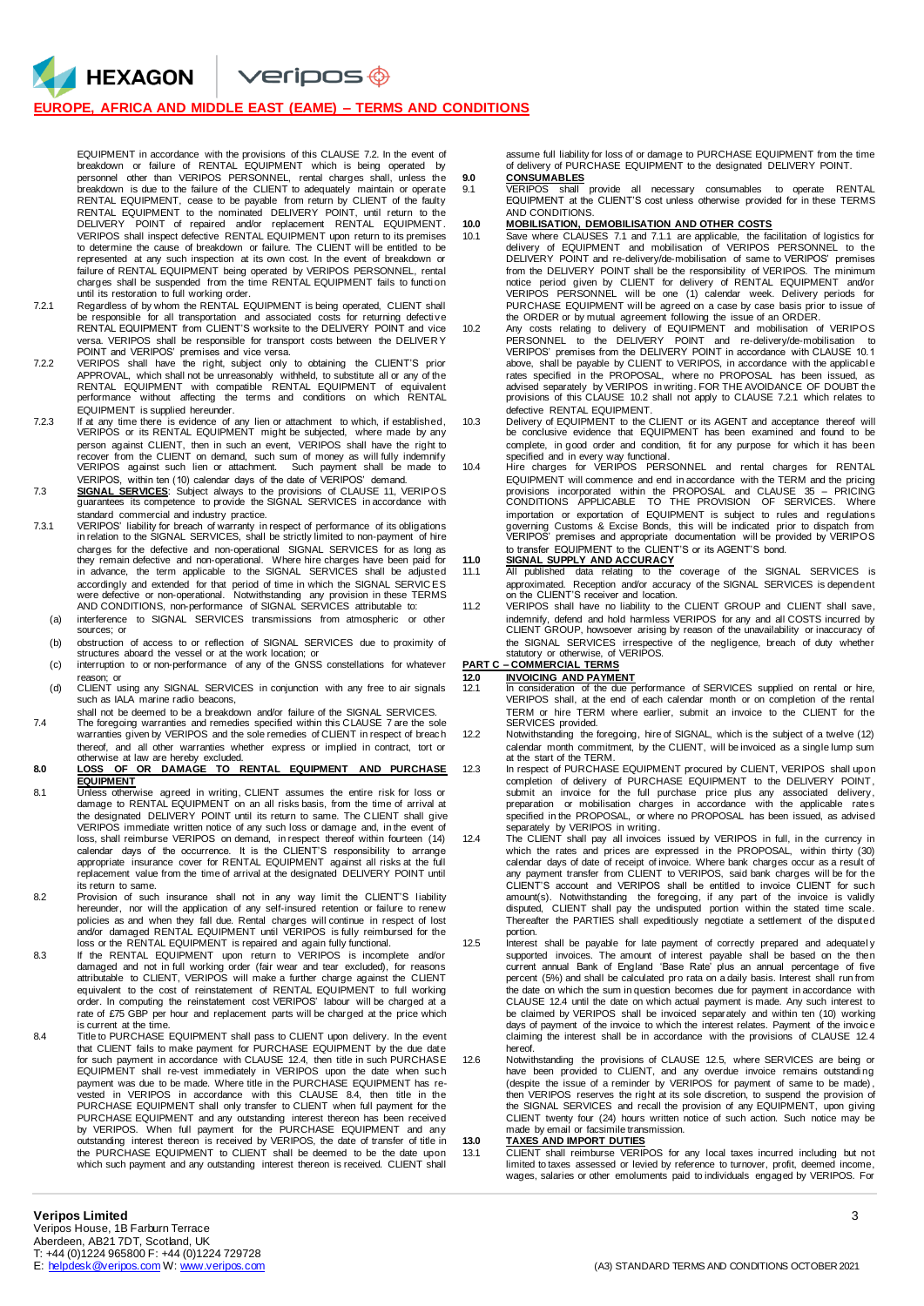$\vee$ eripos $\circledast$ 

### **EUROPE, AFRICA AND MIDDLE EAST (EAME) – TERMS AND CONDITIONS**

HEXAGON

EQUIPMENT in accordance with the provisions of this CLAUSE 7.2. In the event of breakdown or failure of RENTAL EQUIPMENT which is being operated by personnel other than VERIPOS PERSONNEL, rental charges shall, unless the breakdown is due to the failure of the CLIENT to adequately maintain or operate RENTAL EQUIPMENT, cease to be payable from return by CLIENT of the faulty RENTAL EQUIPMENT to the nominated DELIVERY POINT, until return to the DELIVERY POINT of repaired and/or replacement RENTAL EQUIPMENT. VERIPOS shall inspect defective RENTAL EQUIPMENT upon return to its premises to determine the cause of breakdown or failure. The CLIENT will be entitled to be represented at any such inspection at its own cost. In the event of breakdown or failure of RENTAL EQUIPMENT being operated by VERIPOS PERSONNEL, rental charges shall be suspended from the time RENTAL EQUIPMENT fails to functi on until its restoration to full working order.

- 7.2.1 Regardless of by whom the RENTAL EQUIPMENT is being operated, CLIENT shall be responsible for all transportation and associated costs for returning defecti ve RENTAL EQUIPMENT from CLIENT'S worksite to the DELIVERY POINT and vice versa. VERIPOS shall be responsible for transport costs between the DELIVER Y
- POINT and VERIPOS' premises and vice versa. 7.2.2 VERIPOS shall have the right, subject only to obtaining the CLIENT'S prior APPROVAL, which shall not be unreasonably withheld, to substitute all or any of the<br>RENTAL EQUIPMENT with compatible RENTAL EQUIPMENT of equivalent<br>performance without affecting the terms and conditions on which RENTAL EQUIPMENT is supplied hereunder.
- 7.2.3 If at any time there is evidence of any lien or attachment to which, if established, VERIPOS or its RENTAL EQUIPMENT might be subjected, where made by any person against CLIENT, then in such an event, VERIPOS shall have the right to<br>recover from the CLIENT on demand, such sum of money as will fully indemnify<br>VERIPOS against such lien or attachment. Such payment shall be ma VERIPOS, within ten (10) calendar days of the date of VERIPOS' demand.
- 7.3 **SIGNAL SERVICES**: Subject always to the provisions of CLAUSE 11, VERIPOS guarantees its competence to provide the SIGNAL SERVICES in accordance with
- standard commercial and industry practice.<br>7.3.1 VERIPOS' liability for breach of warranty in respect of performance of its obligations<br>in relation to the SIGNAL SERVICES, shall be strictly limited to non-payment of charges for the defective and non-operational SIGNAL SERVICES for as long as they remain defective and non-operational. Where hire charges have been paid for in advance, the term applicable to the SIGNAL SERVICES shall be adjusted accordingly and extended for that period of time in which the SIGNAL SERVIC ES were defective or non-operational. Notwithstanding any provision in these TERMS AND CONDITIONS, non-performance of SIGNAL SERVICES attributable to:
- (a) interference to SIGNAL SERVICES transmissions from atmospheric or other sources; or
- (b) obstruction of access to or reflection of SIGNAL SERVICES due to proximity of structures aboard the vessel or at the work location; or
- (c) interruption to or non-performance of any of the GNSS constellations for whatever reason; or
- (d) CLIENT using any SIGNAL SERVICES in conjunction with any free to air signals such as IALA marine radio beacons,
- shall not be deemed to be a breakdown and/or failure of the SIGNAL SERVICES. 7.4 The foregoing warranties and remedies specified within this CLAUSE 7 are the sole warranties given by VERIPOS and the sole remedies of CLIENT in respect of breach
- thereof, and all other warranties whether express or implied in contract, tort or otherwise at law are hereby excluded.
- **8.0 LOSS OF OR DAMAGE TO RENTAL EQUIPMENT AND PURCHASE EQUIPMENT**
- 8.1 Unless otherwise agreed in writing, CLIENT assumes the entire risk for loss or damage to RENTAL EQUIPMENT on an all risks basis, from the time of arrival at the designated DELIVERY POINT until its return to same. The CLIENT shall give VERIPOS immediate written notice of any such loss or damage and, in the event of loss, shall reimburse VERIPOS on demand, in respect thereof within fourteen (14) calendar days of the occurrence. It is the CLIENT'S responsibility to arrange appropriate insurance cover for RENTAL EQUIPMENT against all risks at the full replacement value from the time of arrival at the designated DELIVERY POINT until its return to same.
- 8.2 Provision of such insurance shall not in any way limit the CLIENT'S liability hereunder, nor will the application of any self-insured retention or failure to renew policies as and when they fall due. Rental charges will continue in respect of lost<br>and/or damaged RENTAL EQUIPMENT until VERIPOS is fully reimbursed for the<br>loss or the RENTAL EQUIPMENT is repaired and again fully functio
- 8.3 If the RENTAL EQUIPMENT upon return to VERIPOS is incomplete and/or<br>damaged and not in full working order (fair wear and tear excluded), for reasons<br>attributable to CLIENT, VERIPOS will make a further charge against th equivalent to the cost of reinstatement of RENTAL EQUIPMENT to full working order. In computing the reinstatement cost VERIPOS' labour will be charged at a rate of £75 GBP per hour and replacement parts will be charged at the price which is current at the time.
- 8.4 Title to PURCHASE EQUIPMENT shall pass to CLIENT upon delivery. In the event that CLIENT fails to make payment for PURCHASE EQUIPMENT by the due date for such payment in accordance with CLAUSE 12.4, then title in such PURCHASE EQUIPMENT shall re-vest immediately in VERIPOS upon the date when such payment was due to be made. Where title in the PURCHASE EQUIPMENT has revested in VERIPOS in accordance with this CLAUSE 8.4, then title in the PURCHASE EQUIPMENT shall only transfer to CLIENT when full payment for the PURCHASE EQUIPMENT and any outstanding interest thereon has been received<br>by VERIPOS. When full payment for the PURCHASE EQUIPMENT and any<br>outstanding interest thereon is received by VERIPOS, the date of transfer of title the PURCHASE EQUIPMENT to CLIENT shall be deemed to be the date upon which such payment and any outstanding interest thereon is received. CLIENT shall

assume full liability for loss of or damage to PURCHASE EQUIPMENT from the time of delivery of PURCHASE EQUIPMENT to the designated DELIVERY POINT.

**9.0 CONSUMABLES**<br>9.1 **VERIPOS** shall 9.1 VERIPOS shall provide all necessary consumables to operate RENTAL EQUIPMENT at the CLIENT'S cost unless otherwise provided for in these TERMS AND CONDITIONS.

#### **10.0 MOBILISATION, DEMOBILISATION AND OTHER COSTS**

- 10.1 Save where CLAUSES 7.1 and 7.1.1 are applicable, the facilitation of logistics for delivery of EQUIPMENT and mobilisation of VERIPOS PERSONNEL to the DELIVERY POINT and re-delivery/de-mobilisation of same to VERIPOS' premises from the DELIVERY POINT shall be the responsibility of VERIPOS. The minimum notice period given by CLIENT for delivery of RENTAL EQUIPMENT and/or VERIPOS PERSONNEL will be one (1) calendar week. Delivery periods for PURCHASE EQUIPMENT will be agreed on a case by case basis prior to issue of
- the ORDER or by mutual agreement following the issue of an ORDER. 10.2 Any costs relating to delivery of EQUIPMENT and mobilisation of VERIPOS PERSONNEL to the DELIVERY POINT and re-delivery/de-mobilisation to VERIPOS' premises from the DELIVERY POINT in accordance with CLAUSE 10.1 above, shall be payable by CLIENT to VERIPOS, in accordance with the applicabl e rates specified in the PROPOSAL, where no PROPOSAL has been issued, as advised separately by VERIPOS in writing. FOR THE AVOIDANCE OF DOUBT the provisions of this CLAUSE 10.2 shall not apply to CLAUSE 7.2.1 which relates to defective RENTAL EQUIPMENT.
- 10.3 Delivery of EQUIPMENT to the CLIENT or its AGENT and acceptance thereof will be conclusive evidence that EQUIPMENT has been examined and found to be complete, in good order and condition, fit for any purpose for which it has been
- specified and in every way functional. 10.4 Hire charges for VERIPOS PERSONNEL and rental charges for RENTAL EQUIPMENT will commence and end in accordance with the TERM and the pricing<br>provisions incorporated within the PROPOSAL and CLAUSE 35 – PRICING<br>CONDITIONS APPLICABLE TO THE PROVISION OF SERVICES. Where importation or exportation of EQUIPMENT is subject to rules and regulations governing Customs & Excise Bonds, this will be indicated prior to dispatch from VERIPOS' premises and appropriate documentation will be provided by VERIPOS to transfer EQUIPMENT to the CLIENT'S or its AGENT'S bond.
- 
- **11.0 SIGNAL SUPPLY AND ACCURACY** 11.1 All published data relating to the coverage of the SIGNAL SERVICES is approximated. Reception and/or accuracy of the SIGNAL SERVICES is dependent on the CLIENT'S receiver and location.
- 11.2 VERIPOS shall have no liability to the CLIENT GROUP and CLIENT shall save, indemnify, defend and hold harmless VERIPOS for any and all COSTS incurred by CLIENT GROUP, howsoever arising by reason of the unavailability or inaccuracy of the SIGNAL SERVICES irrespective of the negligence, breach of duty whether statutory or otherwise, of VERIPOS.

## **PART C – COMMERCIAL TERMS**

- **12.0 INVOICING AND PAYMENT** 12.1 In consideration of the due performance of SERVICES supplied on rental or hire, VERIPOS shall, at the end of each calendar month or on completion of the rental TERM or hire TERM where earlier, submit an invoice to the CLIENT for the SERVICES provided.
- 12.2 Notwithstanding the foregoing, hire of SIGNAL, which is the subject of a twelve (12) calendar month commitment, by the CLIENT, will be invoiced as a single lump sum at the start of the TERM.
- 12.3 In respect of PURCHASE EQUIPMENT procured by CLIENT, VERIPOS shall upon completion of delivery of PURCHASE EQUIPMENT to the DELIVERY POINT, submit an invoice for the full purchase price plus any associated delivery, preparation or mobilisation charges in accordance with the applicable rates specified in the PROPOSAL, or where no PROPOSAL has been issued, as advised
- separately by VERIPOS in writing. 12.4 The CLIENT shall pay all invoices issued by VERIPOS in full, in the currency in which the rates and prices are expressed in the PROPOSAL, within thirty (30) calendar days of date of receipt of invoice. Where bank charges occur as a result of any payment transfer from CLIENT to VERIPOS, said bank charges will be for the CLIENT'S account and VERIPOS shall be entitled to invoice CLIENT for such amount(s). Notwithstanding the foregoing, if any part of the invoice is validly disputed, CLIENT shall pay the undisputed portion within the stated time scale. Thereafter the PARTIES shall expeditiously negotiate a settlement of the disputed portion.
- 12.5 Interest shall be payable for late payment of correctly prepared and adequately supported invoices. The amount of interest payable shall be based on the then<br>current annual Bank of England 'Base Rate' plus an annual percentage of five<br>percent (5%) and shall be calculated pro rata on a daily basis. Int the date on which the sum in question becomes due for payment in accordance with CLAUSE 12.4 until the date on which actual payment is made. Any such interest to be claimed by VERIPOS shall be invoiced separately and within ten (10) working days of payment of the invoice to which the interest relates. Payment of the invoice claiming the interest shall be in accordance with the provisions of CLAUSE 12.4 hereof.
- 12.6 Notwithstanding the provisions of CLAUSE 12.5, where SERVICES are being or have been provided to CLIENT, and any overdue invoice remains outstandi ng (despite the issue of a reminder by VERIPOS for payment of same to be made) , then VERIPOS reserves the right at its sole discretion, to suspend the provision of the SIGNAL SERVICES and recall the provision of any EQUIPMENT, upon giving CLIENT twenty four (24) hours written notice of such action. Such notice may be made by email or facsimile transmission.

### **13.0 TAXES AND IMPORT DUTIES**

13.1 CLIENT shall reimburse VERIPOS for any local taxes incurred including but not<br>limited to taxes assessed or levied by reference to turnover, profit, deemed income,<br>wages, salaries or other emoluments paid to individual

Veripos House, 1B Farburn Terrace Aberdeen, AB21 7DT, Scotland, UK

T: +44 (0)1224 965800 F: +44 (0)1224 729728<br>E: helpdesk @veripos.com W: www.veripos.com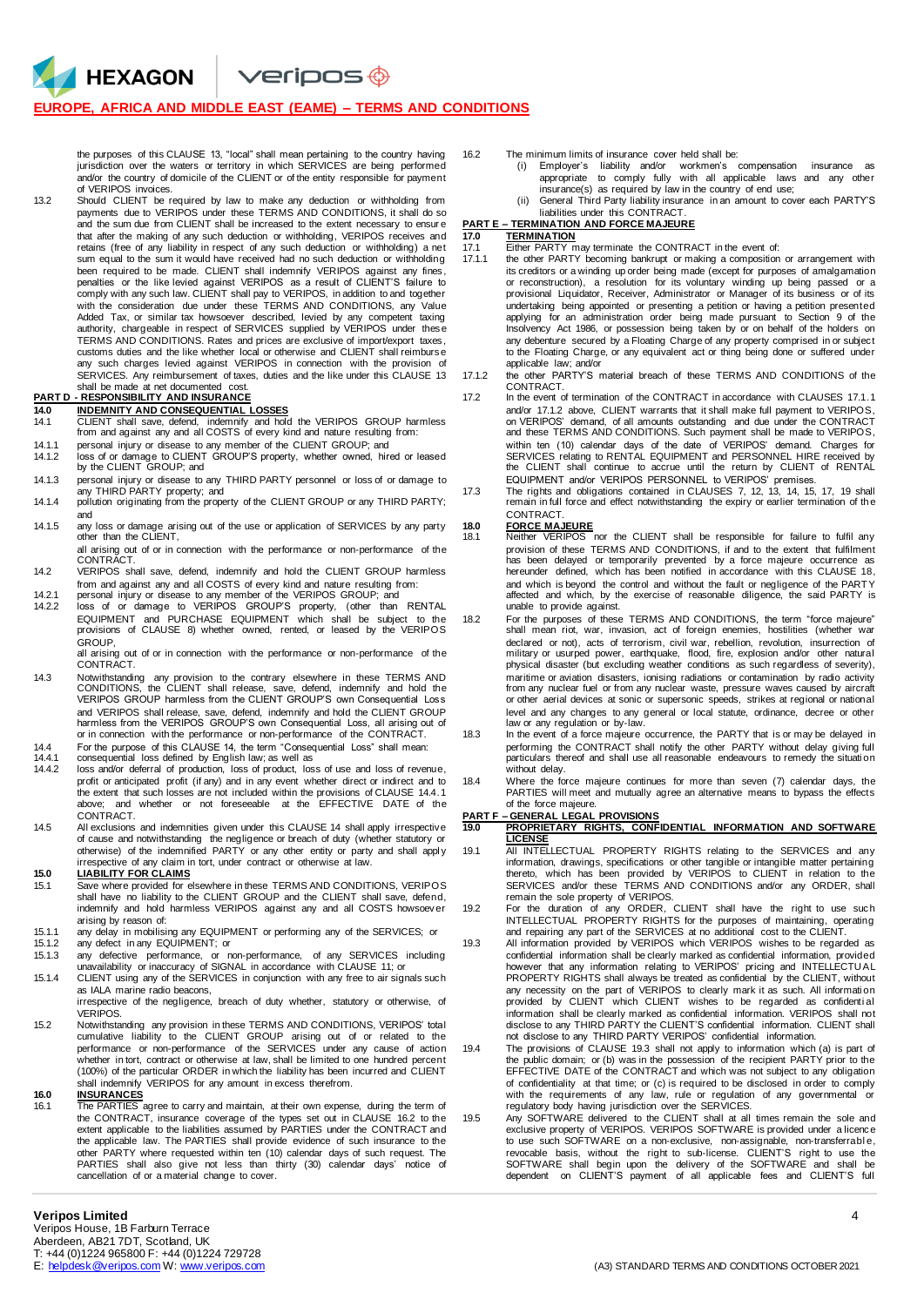$V$ eripos $\bigcirc$ 

### **EUROPE, AFRICA AND MIDDLE EAST (EAME) – TERMS AND CONDITIONS**

the purposes of this CLAUSE 13, "local" shall mean pertaining to the country having jurisdiction over the waters or territory in which SERVICES are being performed and/or the country of domicile of the CLIENT or of the entity responsible for payment of VERIPOS invoices.

13.2 Should CLIENT be required by law to make any deduction or withholding from payments due to VERIPOS under these TERMS AND CONDITIONS, it shall do so and the sum due from CLIENT shall be increased to the extent necessary to ensur e that after the making of any such deduction or withholding, VERIPOS receives and retains (free of any liability in respect of any such deduction or withholding) a net sum equal to the sum it would have received had no such deduction or withholding been required to be made. CLIENT shall indemnify VERIPOS against any fines, penalties or the like levied against VERIPOS as a result of CLIENT'S failure to comply with any such law. CLIENT shall pay to VERIPOS, in addition to and together with the consideration due under these TERMS AND CONDITIONS, any Value Added Tax, or similar tax howsoever described, levied by any competent taxing authority, chargeable in respect of SERVICES supplied by VERIPOS under these TERMS AND CONDITIONS. Rates and prices are exclusive of import/export taxes, customs duties and the like whether local or otherwise and CLIENT shall reimburse any such charges levied against VERIPOS in connection with the provision of SERVICES. Any reimbursement of taxes, duties and the like under this CLAUSE 13 shall be made at net documented cost.

### **PART D - RESPONSIBILITY AND INSURANCE**

**HEXAGON** 

- **14.0 INDEMNITY AND CONSEQUENTIAL LOSSES**<br>14.1 CLIENT shall save, defend, indemnify and hold the VERIPOS GROUP harmless<br>from and against any and all COSTS of every kind and nature resulting from:
- 14.1.1 personal injury or disease to any member of the CLIENT GROUP; and 14.1.2 loss of or damage to CLIENT GROUP'S property, whether owned, hired or leased by the CLIENT GROUP; and
- 14.1.3 personal injury or disease to any THIRD PARTY personnel or loss of or damage to any THIRD PARTY property; and
- 14.1.4 pollution originating from the property of the CLIENT GROUP or any THIRD PARTY; and
- 14.1.5 any loss or damage arising out of the use or application of SERVICES by any party other than the CLIENT,

all arising out of or in connection with the performance or non-performance of the CONTRACT.

- 14.2 VERIPOS shall save, defend, indemnify and hold the CLIENT GROUP harmless from and against any and all COSTS of every kind and nature resulting from:
- 14.2.1 personal injury or disease to any member of the VERIPOS GROUP; and 14.2.2 loss of or damage to VERIPOS GROUP'S property, (other than RENTAL EQUIPMENT and PURCHASE EQUIPMENT which shall be subject to the provisions of CLAUSE 8) whether owned, rented, or leased by the VERIPOS **GROUP**

all arising out of or in connection with the performance or non-performance of the CONTRACT.

- 14.3 Notwithstanding any provision to the contrary elsewhere in these TERMS AND CONDITIONS, the CLIENT shall release, save, defend, indemnify and hold the VERIPOS GROUP harmless from the CLIENT GROUP'S own Consequential Loss and VERIPOS shall release, save, defend, indemnify and hold the CLIENT GROUP harmless from the VERIPOS GROUP'S own Consequential Loss, all arising out of or in connection with the performance or non-performance of the CONTRACT.
- 14.4 For the purpose of this CLAUSE 14, the term "Consequential Loss" shall mean:

14.4.1 consequential loss defined by English law; as well as 14.4.2 loss and/or deferral of production, loss of product, los

- loss and/or deferral of production, loss of product, loss of use and loss of revenue, profit or anticipated profit (if any) and in any event whether direct or indirect and to the extent that such losses are not included within the provisions of CLAUSE 14.4.1 above; and whether or not foreseeable at the EFFECTIVE DATE of the CONTRACT.
- 14.5 All exclusions and indemnities given under this CLAUSE 14 shall apply irrespective of cause and notwithstanding the negligence or breach of duty (whether statutory or otherwise) of the indemnified PARTY or any other entity or party and shall apply<br>irrespective of any claim in tort, under contract or otherwise at law.<br>**15.0 LIABILITY FOR CLAIMS**

- 15.1 Save where provided for elsewhere in these TERMS AND CONDITIONS, VERIPOS shall have no liability to the CLIENT GROUP and the CLIENT shall save, defend, indemnify and hold harmless VERIPOS against any and all COSTS howsoever arising by reason of:
- 15.1.1 any delay in mobilising any EQUIPMENT or performing any of the SERVICES; or 15.1.2 any defect in any EQUIPMENT; or
- 
- 15.1.3 any defective performance, or non-performance, of any SERVICES including<br>unavailability or inaccuracy of SIGNAL in accordance with CLAUSE 11; or<br>15.1.4 CLIENT using any of the SERVICES in conjunction with any free t
- as IALA marine radio beacons, irrespective of the negligence, breach of duty whether, statutory or otherwise, of VERIPOS.
- 15.2 Notwithstanding any provision in these TERMS AND CONDITIONS, VERIPOS' total cumulative liability to the CLIENT GROUP arising out of or related to the performance or non-performance of the SERVICES under any cause of action whether in tort, contract or otherwise at law, shall be limited to one hundred percent (100%) of the particular ORDER in which the liability has been incurred and CLIENT shall indemnify VERIPOS for any amount in excess therefrom.

**16.0 INSURANCES** 16.1 The PARTIES agree to carry and maintain, at their own expense, during the term of the CONTRACT, insurance coverage of the types set out in CLAUSE 16.2 to the extent applicable to the liabilities assumed by PARTIES under the CONTRACT and the applicable law. The PARTIES shall provide evidence of such insurance to the other PARTY where requested within ten (10) calendar days of such request. The PARTIES shall also give not less than thirty (30) calendar days' notice of cancellation of or a material change to cover.

- 
- 16.2 The minimum limits of insurance cover held shall be: (i) Employer's liability and/or workmen's compensation insurance as appropriate to comply fully with all applicable laws and any other insurance(s) as required by law in the country of end use; (ii) General Third Party liability insurance in an amount to cover each PARTY'S
	- liabilities under this CONTRACT.

## **PART E – TERMINATION AND FORCE MAJEURE**

## 17.0 **TERMINATION**<br>17.1 **Either PARTY** n

- 17.1 Either PARTY may terminate the CONTRACT in the event of:<br>17.1.1 the other PARTY becoming bankrupt or making a composition the other PARTY becoming bankrupt or making a composition or arrangement with its creditors or a winding up order being made (except for purposes of amalgamation or reconstruction), a resolution for its voluntary winding up being passed or a provisional Liquidator, Receiver, Administrator or Manager of its business or of its undertaking being appointed or presenting a petition or having a petition presented applying for an administration order being made pursuant to Section 9 of the Insolvency Act 1986, or possession being taken by or on behalf of the holders on any debenture secured by a Floating Charge of any property comprised in or subject to the Floating Charge, or any equivalent act or thing being done or suffered under applicable law; and/or
- 17.1.2 the other PARTY'S material breach of these TERMS AND CONDITIONS of the CONTRACT. 17.2 In the event of termination of the CONTRACT in accordance with CLAUSES 17.1.1
	- and/or 17.1.2 above, CLIENT warrants that it shall make full payment to VERIPOS, on VERIPOS' demand, of all amounts outstanding and due under the CONTRACT and these TERMS AND CONDITIONS. Such payment shall be made to VERIPOS, within ten (10) calendar days of the date of VERIPOS' demand. Charges for SERVICES relating to RENTAL EQUIPMENT and PERSONNEL HIRE received by the CLIENT shall continue to accrue until the return by CLIENT of RENTAL EQUIPMENT and/or VERIPOS PERSONNEL to VERIPOS' premises.

17.3 The rights and obligations contained in CLAUSES 7, 12, 13, 14, 15, 17, 19 shall remain in full force and effect notwithstanding the expiry or earlier termination of th e CONTRACT.

- 
- **18.0 FORCE MAJEURE** 18.1 Neither VERIPOS nor the CLIENT shall be responsible for failure to fulfil any provision of these TERMS AND CONDITIONS, if and to the extent that fulfilment has been delayed or temporarily prevented by a force majeure occurrence as hereunder defined, which has been notified in accordance with this CLAUSE 18, and which is beyond the control and without the fault or negligence of the PARTY affected and which, by the exercise of reasonable diligence, the said PARTY is unable to provide against.
- 18.2 For the purposes of these TERMS AND CONDITIONS, the term "force majeure" shall mean riot, war, invasion, act of foreign enemies, hostilities (whether war declared or not), acts of terrorism, civil war, rebellion, revolution, insurrection of military or usurped power, earthquake, flood, fire, explosion and/or other natural physical disaster (but excluding weather conditions as such regardless of severity), maritime or aviation disasters, ionising radiations or contamination by radio activity from any nuclear fuel or from any nuclear waste, pressure waves caused by aircraft or other aerial devices at sonic or supersonic speeds, strikes at regional or national level and any changes to any general or local statute, ordinance, decree or other law or any regulation or by-law.
- 18.3 In the event of a force majeure occurrence, the PARTY that is or may be delayed in performing the CONTRACT shall notify the other PARTY without delay giving full particulars thereof and shall use all reasonable endeavours to remedy the situation without delay.
- 18.4 Where the force majeure continues for more than seven (7) calendar days, the PARTIES will meet and mutually agree an alternative means to bypass the effects of the force majeure.

## **PART F – GENERAL LEGAL PROVISIONS**

- **19.0 PROPRIETARY RIGHTS, CONFIDENTIAL INFORMATION AND SOFTWARE LICENSE**
- 19.1 All INTELLECTUAL PROPERTY RIGHTS relating to the SERVICES and any information, drawings, specifications or other tangible or intangible matter pertaining thereto, which has been provided by VERIPOS to CLIENT in relation to the SERVICES and/or these TERMS AND CONDITIONS and/or any ORDER, shall remain the sole property of VERIPOS.
- 19.2 For the duration of any ORDER, CLIENT shall have the right to use such INTELLECTUAL PROPERTY RIGHTS for the purposes of maintaining, operating and repairing any part of the SERVICES at no additional cost to the CLIENT. 19.3 All information provided by VERIPOS which VERIPOS wishes to be regarded as
- confidential information shall be clearly marked as confidential information, provided however that any information relating to VERIPOS' pricing and INTELLECTU AL PROPERTY RIGHTS shall always be treated as confidential by the CLIENT, without any necessity on the part of VERIPOS to clearly mark it as such. All informati on provided by CLIENT which CLIENT wishes to be regarded as confidenti al information shall be clearly marked as confidential information. VERIPOS shall not disclose to any THIRD PARTY the CLIENT'S confidential information. CLIENT shall not disclose to any THIRD PARTY VERIPOS' confidential information.
- 19.4 The provisions of CLAUSE 19.3 shall not apply to information which (a) is part of the public domain; or (b) was in the possession of the recipient PARTY prior to the EFFECTIVE DATE of the CONTRACT and which was not subject to any obligation of confidentiality at that time; or (c) is required to be disclosed in order to comply with the requirements of any law, rule or regulation of any governmental or regulatory body having jurisdiction over the SERVICES.
- 19.5 Any SOFTWARE delivered to the CLIENT shall at all times remain the sole and exclusive property of VERIPOS. VERIPOS SOFTWARE is provided under a licence to use such SOFTWARE on a non-exclusive, non-assignable, non-transferrable, revocable basis, without the right to sub-license. CLIENT'S right to use the SOFTWARE shall begin upon the delivery of the SOFTWARE and shall be dependent on CLIENT'S payment of all applicable fees and CLIENT'S full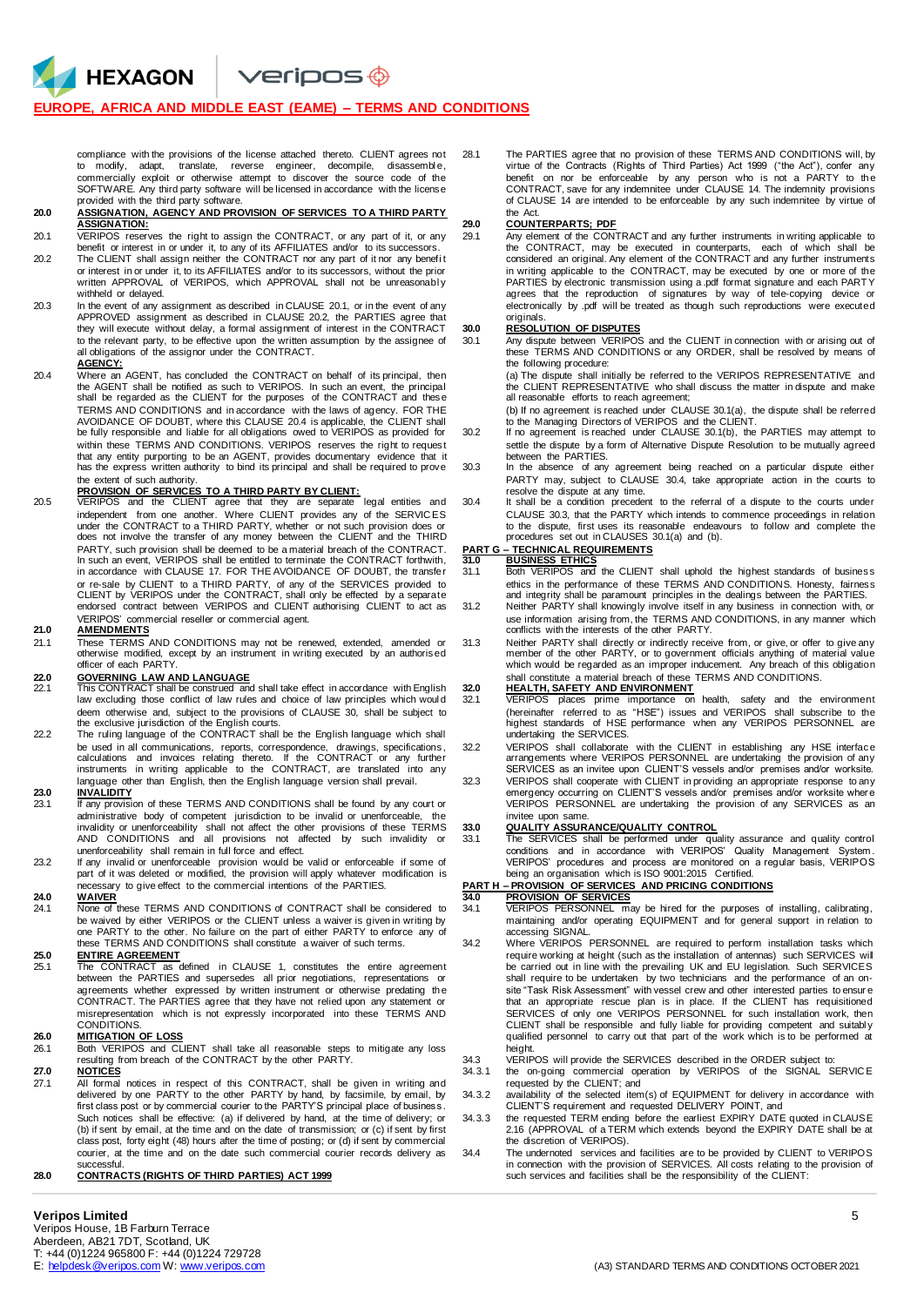veripos <del>©</del>

#### **EUROPE, AFRICA AND MIDDLE EAST (EAME) – TERMS AND CONDITIONS**

compliance with the provisions of the license attached thereto. CLIENT agrees not<br>to modify, adapt, translate, reverse engineer, decompile, disassemble, commercially exploit or otherwise attempt to discover the source code of the SOFTWARE. Any third party software will be licensed in accordance with the license provided with the third party software.

#### **20.0 ASSIGNATION, AGENCY AND PROVISION OF SERVICES TO A THIRD PARTY ASSIGNATION:**

- 20.1 VERIPOS reserves the right to assign the CONTRACT, or any part of it, or any
- benefit or interest in or under it, to any of its AFFILIATES and/or to its successors. 20.2 The CLIENT shall assign neither the CONTRACT nor any part of it nor any benefi t or interest in or under it, to its AFFILIATES and/or to its successors, without the prior written APPROVAL of VERIPOS, which APPROVAL shall not be unreasonably withheld or delayed.
- 20.3 In the event of any assignment as described in CLAUSE 20.1, or in the event of any APPROVED assignment as described in CLAUSE 20.2, the PARTIES agree that they will execute without delay, a formal assignment of interest in the CONTRACT to the relevant party, to be effective upon the written assumption by the assignee of all obligations of the assignor under the CONTRACT.

#### **AGENCY:**

**HEXAGON** 

20.4 Where an AGENT, has concluded the CONTRACT on behalf of its principal, then the AGENT shall be notified as such to VERIPOS. In such an event, the principal shall be regarded as the CLIENT for the purposes of the CONTRACT and these TERMS AND CONDITIONS and in accordance with the laws of agency. FOR THE AVOIDANCE OF DOUBT, where this CLAUSE 20.4 is applicable, the CLIENT shall be fully responsible and liable for all obligations owed to VERIPOS as provided for within these TERMS AND CONDITIONS. VERIPOS reserves the right to request that any entity purporting to be an AGENT, provides documentary evidence that it has the express written authority to bind its principal and shall be required to prove the extent of such authority.

## **PROVISION OF SERVICES TO A THIRD PARTY BY CLIENT:**<br>20.5 VERIPOS and the CLIENT agree that they are separate legal entities and

independent from one another. Where CLIENT provides any of the SERVICES<br>under the CONTRACT to a THIRD PARTY, whether or not such provision does or<br>does not involve the transfer of any money between the CLIENT and the THIRD PARTY, such provision shall be deemed to be a material breach of the CONTRACT. In such an event, VERIPOS shall be entitled to terminate the CONTRACT forthwith, in accordance with CLAUSE 17. FOR THE AVOIDANCE OF DOUBT, the transfer or re-sale by CLIENT to a THIRD PARTY, of any of the SERVICES provided to CLIENT by VERIPOS under the CONTRACT, shall only be effected by a separate endorsed contract between VERIPOS and CLIENT authorising CLIENT to act as VERIPOS' commercial reseller or commercial agent.

#### **21.0 AMENDMENTS**

21.1 These TERMS AND CONDITIONS may not be renewed, extended, amended or otherwise modified, except by an instrument in writing executed by an authorised officer of each PARTY.

- **22.0 GOVERNING LAW AND LANGUAGE** 22.1 This CONTRACT shall be construed and shall take effect in accordance with English law excluding those conflict of law rules and choice of law principles which woul d deem otherwise and, subject to the provisions of CLAUSE 30, shall be subject to the exclusive jurisdiction of the English courts.
- 22.2 The ruling language of the CONTRACT shall be the English language which shall be used in all communications, reports, correspondence, drawings, specifications,<br>calculations and invoices relating thereto. If the CONTRACT or any further<br>instruments in writing applicable to the CONTRACT, are tra language other than English, then the English language version shall prevail.

## **23.0 INVALIDITY**<br>23.1 **If any provisi**d

- If any provision of these TERMS AND CONDITIONS shall be found by any court or administrative body of competent jurisdiction to be invalid or unenforceable, the<br>invalidity or unenforceability shall not affect the other provisions of these TERMS<br>AND CONDITIONS and all provisions not affected by such i
- unenforceability shall remain in full force and effect.<br>23.2. If any invalid or unenforceable provision would be valid or enforceable if some of<br>part of it was deleted or modified, the provision will apply whatever modific necessary to give effect to the commercial intentions of the PARTIES.

## **24.0 WAIVER**

None of these TERMS AND CONDITIONS of CONTRACT shall be considered to be waived by either VERIPOS or the CLIENT unless a waiver is given in writing by one PARTY to the other. No failure on the part of either PARTY to enforce any of these TERMS AND CONDITIONS shall constitute a waiver of such terms.

### **25.0 ENTIRE AGREEMENT**

25.1 The CONTRACT as defined in CLAUSE 1, constitutes the entire agreement between the PARTIES and supersedes all prior negotiations, representations or agreements whether expressed by written instrument or otherwise predating th e CONTRACT. The PARTIES agree that they have not relied upon any statement or misrepresentation which is not expressly incorporated into these TERMS AND **CONDITIONS** 

# **26.0 MITIGATION OF LOSS**<br>26.1 **Both VERIPOS and CL**

- Both VERIPOS and CLIENT shall take all reasonable steps to mitigate any loss resulting from breach of the CONTRACT by the other PARTY.
- **27.0 NOTICES** 27.1 All formal notices in respect of this CONTRACT, shall be given in writing and delivered by one PARTY to the other PARTY by hand, by facsimile, by email, by first class post or by commercial courier to the PARTY'S principal place of business. Such notices shall be effective: (a) if delivered by hand, at the time of delivery; or (b) if sent by email, at the time and on the date of transmission; or (c) if sent by first class post, forty eight (48) hours after the time of posting; or (d) if sent by commercial courier, at the time and on the date such commercial courier records delivery as successful.

### **28.0 CONTRACTS (RIGHTS OF THIRD PARTIES) ACT 1999**

28.1 The PARTIES agree that no provision of these TERMS AND CONDITIONS will, by virtue of the Contracts (Rights of Third Parties) Act 1999 ("the Act"), confer any benefit on nor be enforceable by any person who is not a PARTY to the CONTRACT, save for any indemnitee under CLAUSE 14. The indemnity provisions of CLAUSE 14 are intended to be enforceable by any such indemnitee by virtue of the Act.

#### **29.0 COUNTERPARTS; PDF**

29.1 Any element of the CONTRACT and any further instruments in writing applicable to the CONTRACT, may be executed in counterparts, each of which shall be considered an original. Any element of the CONTRACT and any further instruments in writing applicable to the CONTRACT, may be executed by one or more of the PARTIES by electronic transmission using a .pdf format signature and each PARTY agrees that the reproduction of signatures by way of tele-copying device or electronically by .pdf will be treated as though such reproductions were executed originals.

#### **30.0 RESOLUTION OF DISPUTES**

30.1 Any dispute between VERIPOS and the CLIENT in connection with or arising out of these TERMS AND CONDITIONS or any ORDER, shall be resolved by means of the following procedure:

(a) The dispute shall initially be referred to the VERIPOS REPRESENTATIVE and the CLIENT REPRESENTATIVE who shall discuss the matter in dispute and make all reasonable efforts to reach agreement;

(b) If no agreement is reached under CLAUSE 30.1(a), the dispute shall be referred to the Managing Directors of VERIPOS and the CLIENT. 30.2 If no agreement is reached under CLAUSE 30.1(b), the PARTIES may attempt to

- settle the dispute by a form of Alternative Dispute Resolution to be mutually agreed between the PARTIES.
- 30.3 In the absence of any agreement being reached on a particular dispute either PARTY may, subject to CLAUSE 30.4, take appropriate action in the courts to resolve the dispute at any time.
- 30.4 It shall be a condition precedent to the referral of a dispute to the courts under CLAUSE 30.3, that the PARTY which intends to commence proceedings in relation to the dispute, first uses its reasonable endeavours to follow and complete the procedures set out in CLAUSES 30.1(a) and (b).

# **PART G – TECHNICAL REQUIREMENTS**

- **31.0 BUSINESS ETHICS** 31.1 Both VERIPOS and the CLIENT shall uphold the highest standards of business ethics in the performance of these TERMS AND CONDITIONS. Honesty, fairness
- and integrity shall be paramount principles in the dealings between the PARTIES. 31.2 Neither PARTY shall knowingly involve itself in any business in connection with, or use information arising from, the TERMS AND CONDITIONS, in any manner which conflicts with the interests of the other PARTY.
- 31.3 Neither PARTY shall directly or indirectly receive from, or give, or offer to give any<br>member of the other PARTY, or to government officials anything of material value<br>which would be regarded as an improper inducement shall constitute a material breach of these TERMS AND CONDITIONS.

# **32.0 HEALTH, SAFETY AND ENVIRONMENT**

- 32.1 VERIPOS places prime importance on health, safety and the environment (hereinafter referred to as "HSE") issues and VERIPOS shall subscribe to the highest standards of HSE performance when any VERIPOS PERSONNEL are undertaking the SERVICES.
- 32.2 VERIPOS shall collaborate with the CLIENT in establishing any HSE interface arrangements where VERIPOS PERSONNEL are undertaking the provision of any SERVICES as an invitee upon CLIENT'S vessels and/or premises and/or worksite.
- 32.3 VERIPOS shall cooperate with CLIENT in providing an appropriate response to any emergency occurring on CLIENT'S vessels and/or premises and/or worksite wher e VERIPOS PERSONNEL are undertaking the provision of any SERVICES as an invitee upon same.

**33.0 QUALITY ASSURANCE/QUALITY CONTROL** 33.1 The SERVICES shall be performed under quality assurance and quality control conditions and in accordance with VERIPOS' Quality Management System. VERIPOS' procedures and process are monitored on a regular basis, VERIPOS being an organisation which is ISO 9001:2015 Certified.

## **PART H – PROVISION OF SERVICES AND PRICING CONDITIONS 34.0 PROVISION OF SERVICES**

- **PART IT FROVISION OF SERVICES**<br>34.1 VERIPOS PERSONNEL may be hired for the purposes of installing, calibrating,  $34.1$  VERIPOS PERSONNEL may be hired for the purposes of installing, calibrating, maintaining and/or operating EQUIPMENT and for general support in relation to<br>accessing SIGNAL.<br>34.2 Where VERIPOS PERSONNEL are required to perform installation tasks which
- require working at height (such as the installation of antennas) such SERVICES will<br>be carried out in line with the prevailing UK and EU legislation. Such SERVICES<br>shall require to be undertaken by two technicians and th site "Task Risk Assessment" with vessel crew and other interested parties to ensur e that an appropriate rescue plan is in place. If the CLIENT has requisitioned SERVICES of only one VERIPOS PERSONNEL for such installation work, then CLIENT shall be responsible and fully liable for providing competent and suitably<br>qualified personnel to carry out that part of the work which is to be performed at height.
- 34.3 VERIPOS will provide the SERVICES described in the ORDER subject to: 34.3.1 the on-going commercial operation by VERIPOS of the SIGNAL SERVIC E requested by the CLIENT; and
- 34.3.2 availability of the selected item(s) of EQUIPMENT for delivery in accordance with CLIENT'S requirement and requested DELIVERY POINT, and
- 34.3.3 the requested TERM ending before the earliest EXPIRY DATE quoted in CLAUSE 2.16 (APPROVAL of a TERM which extends beyond the EXPIRY DATE shall be at the discretion of VERIPOS).
- 34.4 The undernoted services and facilities are to be provided by CLIENT to VERIPOS in connection with the provision of SERVICES. All costs relating to the provision of such services and facilities shall be the responsibility of the CLIENT: